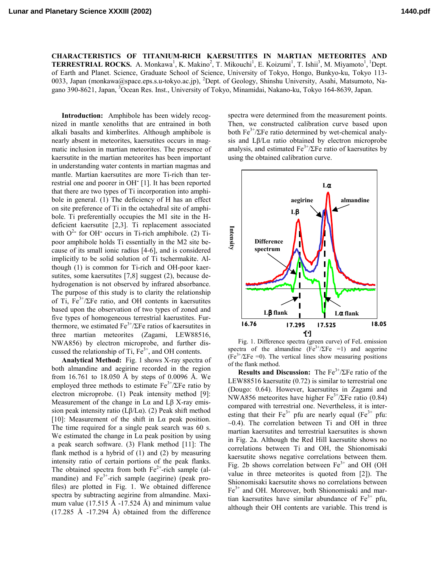**CHARACTERISTICS OF TITANIUM-RICH KAERSUTITES IN MARTIAN METEORITES AND TERRESTRIAL ROCKS.** A. Monkawa<sup>1</sup>, K. Makino<sup>2</sup>, T. Mikouchi<sup>1</sup>, E. Koizumi<sup>1</sup>, T. Ishii<sup>3</sup>, M. Miyamoto<sup>1</sup>, <sup>1</sup>Dept. of Earth and Planet. Science, Graduate School of Science, University of Tokyo, Hongo, Bunkyo-ku, Tokyo 113- 0033, Japan (monkawa@space.eps.s.u-tokyo.ac.jp), <sup>2</sup>Dept. of Geology, Shinshu University, Asahi, Matsumoto, Nagano 390-8621, Japan, <sup>3</sup>Ocean Res. Inst., University of Tokyo, Minamidai, Nakano-ku, Tokyo 164-8639, Japan.

**Introduction:** Amphibole has been widely recognized in mantle xenoliths that are entrained in both alkali basalts and kimberlites. Although amphibole is nearly absent in meteorites, kaersutites occurs in magmatic inclusion in martian meteorites. The presence of kaersutite in the martian meteorites has been important in understanding water contents in martian magmas and mantle. Martian kaersutites are more Ti-rich than terrestrial one and poorer in OH- [1]. It has been reported that there are two types of Ti incorporation into amphibole in general. (1) The deficiency of H has an effect on site preference of Ti in the octahedral site of amphibole. Ti preferentially occupies the M1 site in the Hdeficient kaersutite [2,3]. Ti replacement associated with  $O^{2-}$  for OH<sup>-</sup> occurs in Ti-rich amphibole. (2) Tipoor amphibole holds Ti essentially in the M2 site because of its small ionic radius [4-6], and is considered implicitly to be solid solution of Ti tschermakite. Although (1) is common for Ti-rich and OH-poor kaersutites, some kaersutites [7,8] suggest (2), because dehydrogenation is not observed by infrared absorbance. The purpose of this study is to clarity the relationship of Ti,  $Fe^{3+}/\Sigma Fe$  ratio, and OH contents in kaersutites based upon the observation of two types of zoned and five types of homogeneous terrestrial kaerustites. Furthermore, we estimated  $Fe^{3+}/\Sigma Fe$  ratios of kaersutites in three martian meteorites (Zagami, LEW88516, NWA856) by electron microprobe, and further discussed the relationship of Ti,  $Fe<sup>3+</sup>$ , and OH contents.

**Analytical Method:** Fig. 1 shows X-ray spectra of both almandine and aegirine recorded in the region from 16.761 to 18.050 Å by steps of 0.0096 Å. We employed three methods to estimate  $Fe^{3+}/\Sigma Fe$  ratio by electron microprobe. (1) Peak intensity method [9]: Measurement of the change in  $La$  and  $L\beta$  X-ray emission peak intensity ratio (L $\beta$ /L $\alpha$ ). (2) Peak shift method [10]: Measurement of the shift in Lα peak position. The time required for a single peak search was 60 s. We estimated the change in  $La$  peak position by using a peak search software. (3) Flank method [11]: The flank method is a hybrid of (1) and (2) by measuring intensity ratio of certain portions of the peak flanks. The obtained spectra from both  $Fe^{2+}$ -rich sample (almandine) and  $Fe<sup>3+</sup>$ -rich sample (aegirine) (peak profiles) are plotted in Fig. 1. We obtained difference spectra by subtracting aegirine from almandine. Maximum value (17.515 Å -17.524 Å) and minimum value  $(17.285 \text{ Å } -17.294 \text{ Å})$  obtained from the difference

spectra were determined from the measurement points. Then, we constructed calibration curve based upon both  $Fe^{3+}/\Sigma Fe$  ratio determined by wet-chemical analysis and Lβ/Lα ratio obtained by electron microprobe analysis, and estimated  $Fe^{3+}/\Sigma Fe$  ratio of kaersutites by using the obtained calibration curve.



Fig. 1. Difference spectra (green curve) of FeL emission spectra of the almandine ( $Fe^{3+}/\Sigma Fe$  =1) and aegerine  $(Fe<sup>3+/</sup> \Sigma Fe = 0)$ . The vertical lines show measuring positions of the flank method.

**Results and Discussion:** The  $Fe^{3+}/\Sigma Fe$  ratio of the LEW88516 kaersutite (0.72) is similar to terrestrial one (Dougo: 0.64). However, kaersutites in Zagami and NWA856 meteorites have higher  $Fe^{3+}/\Sigma Fe$  ratio (0.84) compared with terrestrial one. Nevertheless, it is interesting that their  $Fe^{3+}$  pfu are nearly equal ( $Fe^{3+}$  pfu:  $\sim$ 0.4). The correlation between Ti and OH in three martian kaersutites and terrestrial kaersutites is shown in Fig. 2a. Although the Red Hill kaersutite shows no correlations between Ti and OH, the Shionomisaki kaersutite shows negative correlations between them. Fig. 2b shows correlation between  $Fe<sup>3+</sup>$  and OH (OH) value in three meteorites is quoted from [2]). The Shionomisaki kaersutite shows no correlations between  $Fe<sup>3+</sup>$  and OH. Moreover, both Shionomisaki and martian kaersutites have similar abundance of  $Fe^{3+}$  pfu, although their OH contents are variable. This trend is